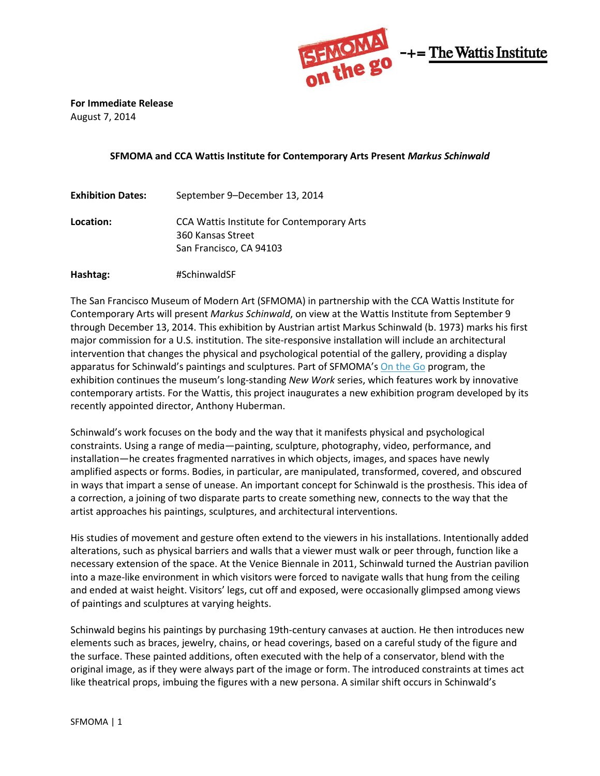

**For Immediate Release** August 7, 2014

## **SFMOMA and CCA Wattis Institute for Contemporary Arts Present** *Markus Schinwald*

| September 9–December 13, 2014                                                                     |
|---------------------------------------------------------------------------------------------------|
| <b>CCA Wattis Institute for Contemporary Arts</b><br>360 Kansas Street<br>San Francisco, CA 94103 |
|                                                                                                   |
|                                                                                                   |

**Hashtag:** #SchinwaldSF

The San Francisco Museum of Modern Art (SFMOMA) in partnership with the CCA Wattis Institute for Contemporary Arts will present *Markus Schinwald*, on view at the Wattis Institute from September 9 through December 13, 2014. This exhibition by Austrian artist Markus Schinwald (b. 1973) marks his first major commission for a U.S. institution. The site-responsive installation will include an architectural intervention that changes the physical and psychological potential of the gallery, providing a display apparatus for Schinwald's paintings and sculptures. Part of SFMOMA's [On the Go](http://www.sfmoma.org/about/press/press_news/releases/932) program, the exhibition continues the museum's long-standing *New Work* series, which features work by innovative contemporary artists. For the Wattis, this project inaugurates a new exhibition program developed by its recently appointed director, Anthony Huberman.

Schinwald's work focuses on the body and the way that it manifests physical and psychological constraints. Using a range of media—painting, sculpture, photography, video, performance, and installation—he creates fragmented narratives in which objects, images, and spaces have newly amplified aspects or forms. Bodies, in particular, are manipulated, transformed, covered, and obscured in ways that impart a sense of unease. An important concept for Schinwald is the prosthesis. This idea of a correction, a joining of two disparate parts to create something new, connects to the way that the artist approaches his paintings, sculptures, and architectural interventions.

His studies of movement and gesture often extend to the viewers in his installations. Intentionally added alterations, such as physical barriers and walls that a viewer must walk or peer through, function like a necessary extension of the space. At the Venice Biennale in 2011, Schinwald turned the Austrian pavilion into a maze-like environment in which visitors were forced to navigate walls that hung from the ceiling and ended at waist height. Visitors' legs, cut off and exposed, were occasionally glimpsed among views of paintings and sculptures at varying heights.

Schinwald begins his paintings by purchasing 19th-century canvases at auction. He then introduces new elements such as braces, jewelry, chains, or head coverings, based on a careful study of the figure and the surface. These painted additions, often executed with the help of a conservator, blend with the original image, as if they were always part of the image or form. The introduced constraints at times act like theatrical props, imbuing the figures with a new persona. A similar shift occurs in Schinwald's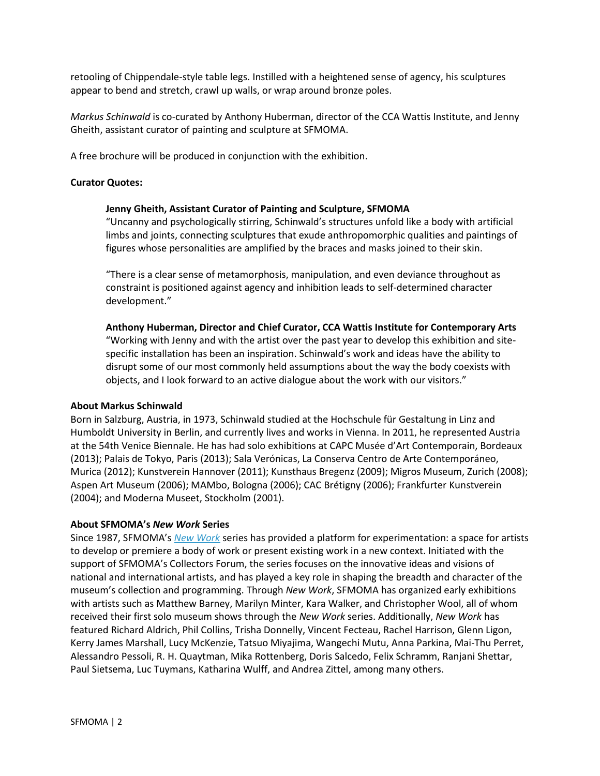retooling of Chippendale-style table legs. Instilled with a heightened sense of agency, his sculptures appear to bend and stretch, crawl up walls, or wrap around bronze poles.

*Markus Schinwald* is co-curated by Anthony Huberman, director of the CCA Wattis Institute, and Jenny Gheith, assistant curator of painting and sculpture at SFMOMA.

A free brochure will be produced in conjunction with the exhibition.

### **Curator Quotes:**

## **Jenny Gheith, Assistant Curator of Painting and Sculpture, SFMOMA**

"Uncanny and psychologically stirring, Schinwald's structures unfold like a body with artificial limbs and joints, connecting sculptures that exude anthropomorphic qualities and paintings of figures whose personalities are amplified by the braces and masks joined to their skin.

"There is a clear sense of metamorphosis, manipulation, and even deviance throughout as constraint is positioned against agency and inhibition leads to self-determined character development."

#### **Anthony Huberman, Director and Chief Curator, CCA Wattis Institute for Contemporary Arts**

"Working with Jenny and with the artist over the past year to develop this exhibition and sitespecific installation has been an inspiration. Schinwald's work and ideas have the ability to disrupt some of our most commonly held assumptions about the way the body coexists with objects, and I look forward to an active dialogue about the work with our visitors."

#### **About Markus Schinwald**

Born in Salzburg, Austria, in 1973, Schinwald studied at the Hochschule für Gestaltung in Linz and Humboldt University in Berlin, and currently lives and works in Vienna. In 2011, he represented Austria at the 54th Venice Biennale. He has had solo exhibitions at CAPC Musée d'Art Contemporain, Bordeaux (2013); Palais de Tokyo, Paris (2013); Sala Verónicas, La Conserva Centro de Arte Contemporáneo, Murica (2012); Kunstverein Hannover (2011); Kunsthaus Bregenz (2009); Migros Museum, Zurich (2008); Aspen Art Museum (2006); MAMbo, Bologna (2006); CAC Brétigny (2006); Frankfurter Kunstverein (2004); and Moderna Museet, Stockholm (2001).

#### **About SFMOMA's** *New Work* **Series**

Since 1987, SFMOMA's *[New Work](http://www.sfmoma.org/exhib_events/exhibitions/new_work)* series has provided a platform for experimentation: a space for artists to develop or premiere a body of work or present existing work in a new context. Initiated with the support of SFMOMA's Collectors Forum, the series focuses on the innovative ideas and visions of national and international artists, and has played a key role in shaping the breadth and character of the museum's collection and programming. Through *New Work*, SFMOMA has organized early exhibitions with artists such as Matthew Barney, Marilyn Minter, Kara Walker, and Christopher Wool, all of whom received their first solo museum shows through the *New Work* series. Additionally, *New Work* has featured Richard Aldrich, Phil Collins, Trisha Donnelly, Vincent Fecteau, Rachel Harrison, Glenn Ligon, Kerry James Marshall, Lucy McKenzie, Tatsuo Miyajima, Wangechi Mutu, Anna Parkina, Mai-Thu Perret, Alessandro Pessoli, R. H. Quaytman, Mika Rottenberg, Doris Salcedo, Felix Schramm, Ranjani Shettar, Paul Sietsema, Luc Tuymans, Katharina Wulff, and Andrea Zittel, among many others.